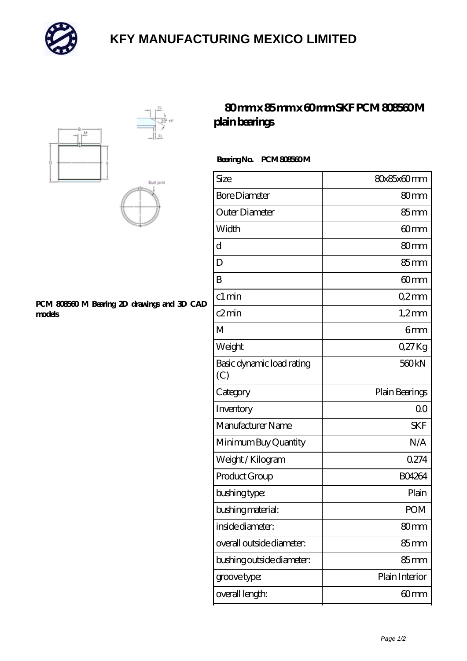

# **[KFY MANUFACTURING MEXICO LIMITED](https://m.mailemotion.tv)**





#### **[PCM 808560 M Bearing 2D drawings and 3D CAD](https://m.mailemotion.tv/pic-415097.html) [models](https://m.mailemotion.tv/pic-415097.html)**

## **[80 mm x 85 mm x 60 mm SKF PCM 808560 M](https://m.mailemotion.tv/af-415097-skf-pcm-808560-m-plain-bearings.html) [plain bearings](https://m.mailemotion.tv/af-415097-skf-pcm-808560-m-plain-bearings.html)**

### **Bearing No. PCM 808560 M**

| Size                             | 80x85x60mm         |
|----------------------------------|--------------------|
| <b>Bore Diameter</b>             | 80 <sub>mm</sub>   |
| Outer Diameter                   | $85 \,\mathrm{mm}$ |
| Width                            | 60 <sub>mm</sub>   |
| d                                | 80mm               |
| D                                | 85mm               |
| B                                | 60 <sub>mm</sub>   |
| c1 min                           | Q2mm               |
| c2min                            | $1,2$ mm           |
| M                                | 6 <sub>mm</sub>    |
| Weight                           | QZ7Kg              |
| Basic dynamic load rating<br>(C) | 560kN              |
| Category                         | Plain Bearings     |
|                                  |                    |
| Inventory                        | 0 <sup>0</sup>     |
| Manufacturer Name                | <b>SKF</b>         |
| Minimum Buy Quantity             | N/A                |
| Weight / Kilogram                | 0274               |
| Product Group                    | <b>BO4264</b>      |
| bushing type:                    | Plain              |
| bushing material:                | POM                |
| inside diameter:                 | 80mm               |
| overall outside diameter:        | $85 \,\mathrm{mm}$ |
| bushing outside diameter:        | $85 \text{mm}$     |
| groove type:                     | Plain Interior     |